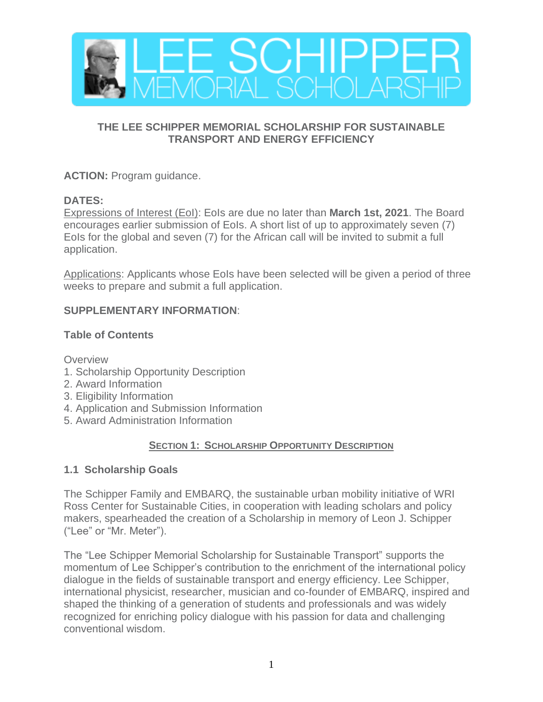

## **THE LEE SCHIPPER MEMORIAL SCHOLARSHIP FOR SUSTAINABLE TRANSPORT AND ENERGY EFFICIENCY**

**ACTION:** Program guidance.

## **DATES:**

Expressions of Interest (EoI): EoIs are due no later than **March 1st, 2021**. The Board encourages earlier submission of EoIs. A short list of up to approximately seven (7) EoIs for the global and seven (7) for the African call will be invited to submit a full application.

Applications: Applicants whose EoIs have been selected will be given a period of three weeks to prepare and submit a full application.

## **SUPPLEMENTARY INFORMATION**:

## **Table of Contents**

**Overview** 

- 1. Scholarship Opportunity Description
- 2. Award Information
- 3. Eligibility Information
- 4. Application and Submission Information
- 5. Award Administration Information

# **SECTION 1: SCHOLARSHIP OPPORTUNITY DESCRIPTION**

# **1.1 Scholarship Goals**

The Schipper Family and EMBARQ, the sustainable urban mobility initiative of WRI Ross Center for Sustainable Cities, in cooperation with leading scholars and policy makers, spearheaded the creation of a Scholarship in memory of Leon J. Schipper ("Lee" or "Mr. Meter").

The "Lee Schipper Memorial Scholarship for Sustainable Transport" supports the momentum of Lee Schipper's contribution to the enrichment of the international policy dialogue in the fields of sustainable transport and energy efficiency. Lee Schipper, international physicist, researcher, musician and co-founder of EMBARQ, inspired and shaped the thinking of a generation of students and professionals and was widely recognized for enriching policy dialogue with his passion for data and challenging conventional wisdom.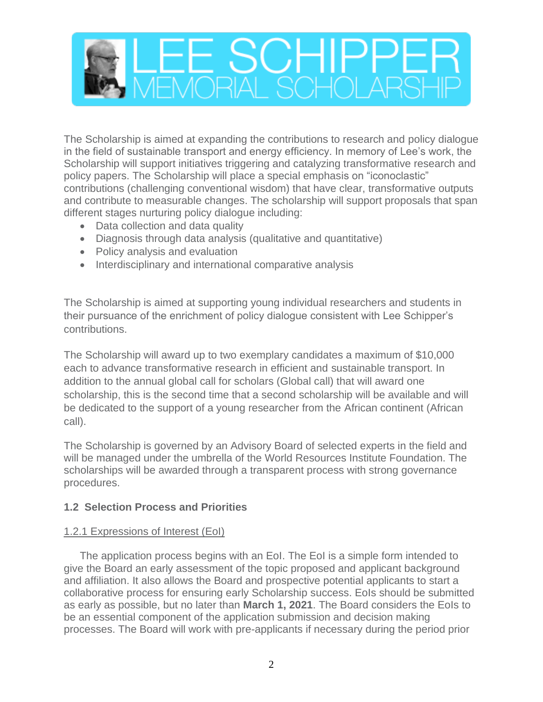

The Scholarship is aimed at expanding the contributions to research and policy dialogue in the field of sustainable transport and energy efficiency. In memory of Lee's work, the Scholarship will support initiatives triggering and catalyzing transformative research and policy papers. The Scholarship will place a special emphasis on "iconoclastic" contributions (challenging conventional wisdom) that have clear, transformative outputs and contribute to measurable changes. The scholarship will support proposals that span different stages nurturing policy dialogue including:

- Data collection and data quality
- Diagnosis through data analysis (qualitative and quantitative)
- Policy analysis and evaluation
- Interdisciplinary and international comparative analysis

The Scholarship is aimed at supporting young individual researchers and students in their pursuance of the enrichment of policy dialogue consistent with Lee Schipper's contributions.

The Scholarship will award up to two exemplary candidates a maximum of \$10,000 each to advance transformative research in efficient and sustainable transport. In addition to the annual global call for scholars (Global call) that will award one scholarship, this is the second time that a second scholarship will be available and will be dedicated to the support of a young researcher from the African continent (African call).

The Scholarship is governed by an Advisory Board of selected experts in the field and will be managed under the umbrella of the World Resources Institute Foundation. The scholarships will be awarded through a transparent process with strong governance procedures.

## **1.2 Selection Process and Priorities**

## 1.2.1 Expressions of Interest (EoI)

The application process begins with an EoI. The EoI is a simple form intended to give the Board an early assessment of the topic proposed and applicant background and affiliation. It also allows the Board and prospective potential applicants to start a collaborative process for ensuring early Scholarship success. EoIs should be submitted as early as possible, but no later than **March 1, 2021**. The Board considers the EoIs to be an essential component of the application submission and decision making processes. The Board will work with pre-applicants if necessary during the period prior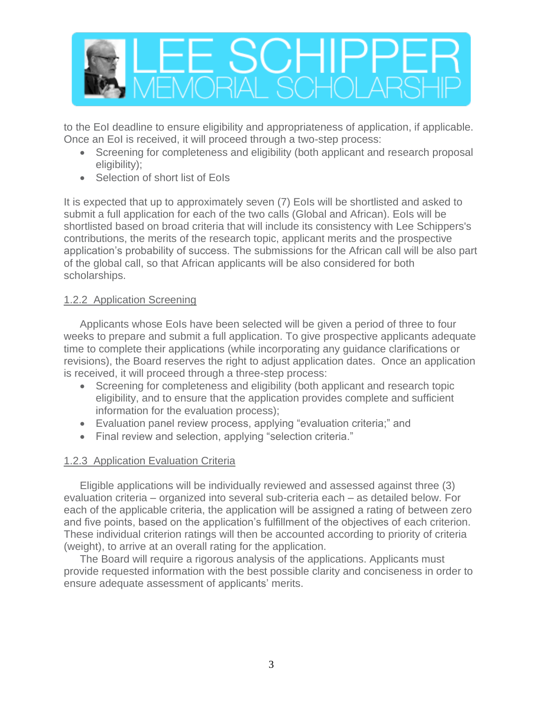

to the EoI deadline to ensure eligibility and appropriateness of application, if applicable. Once an EoI is received, it will proceed through a two-step process:

- Screening for completeness and eligibility (both applicant and research proposal eligibility);
- Selection of short list of EoIs

It is expected that up to approximately seven (7) EoIs will be shortlisted and asked to submit a full application for each of the two calls (Global and African). EoIs will be shortlisted based on broad criteria that will include its consistency with Lee Schippers's contributions, the merits of the research topic, applicant merits and the prospective application's probability of success. The submissions for the African call will be also part of the global call, so that African applicants will be also considered for both scholarships.

## 1.2.2 Application Screening

Applicants whose EoIs have been selected will be given a period of three to four weeks to prepare and submit a full application. To give prospective applicants adequate time to complete their applications (while incorporating any guidance clarifications or revisions), the Board reserves the right to adjust application dates. Once an application is received, it will proceed through a three-step process:

- Screening for completeness and eligibility (both applicant and research topic eligibility, and to ensure that the application provides complete and sufficient information for the evaluation process);
- Evaluation panel review process, applying "evaluation criteria;" and
- Final review and selection, applying "selection criteria."

## 1.2.3 Application Evaluation Criteria

Eligible applications will be individually reviewed and assessed against three (3) evaluation criteria – organized into several sub-criteria each – as detailed below. For each of the applicable criteria, the application will be assigned a rating of between zero and five points, based on the application's fulfillment of the objectives of each criterion. These individual criterion ratings will then be accounted according to priority of criteria (weight), to arrive at an overall rating for the application.

The Board will require a rigorous analysis of the applications. Applicants must provide requested information with the best possible clarity and conciseness in order to ensure adequate assessment of applicants' merits.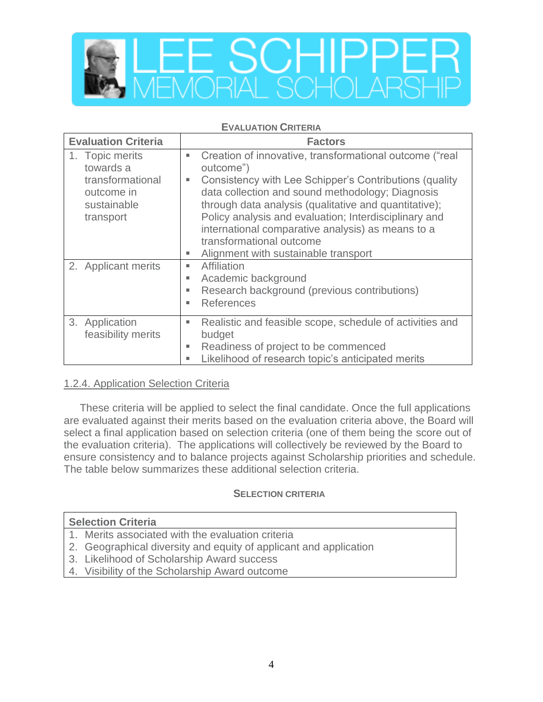

#### **EVALUATION CRITERIA**

| <b>Evaluation Criteria</b>                                                                 | <b>Factors</b>                                                                                                                                                                                                                                                                                                                                                                                                                                            |
|--------------------------------------------------------------------------------------------|-----------------------------------------------------------------------------------------------------------------------------------------------------------------------------------------------------------------------------------------------------------------------------------------------------------------------------------------------------------------------------------------------------------------------------------------------------------|
| 1. Topic merits<br>towards a<br>transformational<br>outcome in<br>sustainable<br>transport | Creation of innovative, transformational outcome ("real<br>$\blacksquare$<br>outcome")<br>Consistency with Lee Schipper's Contributions (quality<br>٠<br>data collection and sound methodology; Diagnosis<br>through data analysis (qualitative and quantitative);<br>Policy analysis and evaluation; Interdisciplinary and<br>international comparative analysis) as means to a<br>transformational outcome<br>Alignment with sustainable transport<br>ш |
| 2. Applicant merits                                                                        | Affiliation<br>٠<br>Academic background<br>٠<br>Research background (previous contributions)<br>٠<br><b>References</b><br>ж.                                                                                                                                                                                                                                                                                                                              |
| 3. Application<br>feasibility merits                                                       | Realistic and feasible scope, schedule of activities and<br>ш<br>budget<br>Readiness of project to be commenced<br>ш<br>Likelihood of research topic's anticipated merits<br>ш                                                                                                                                                                                                                                                                            |

## 1.2.4. Application Selection Criteria

These criteria will be applied to select the final candidate. Once the full applications are evaluated against their merits based on the evaluation criteria above, the Board will select a final application based on selection criteria (one of them being the score out of the evaluation criteria). The applications will collectively be reviewed by the Board to ensure consistency and to balance projects against Scholarship priorities and schedule. The table below summarizes these additional selection criteria.

### **SELECTION CRITERIA**

### **Selection Criteria**

- 1. Merits associated with the evaluation criteria
- 2. Geographical diversity and equity of applicant and application
- 3. Likelihood of Scholarship Award success
- 4. Visibility of the Scholarship Award outcome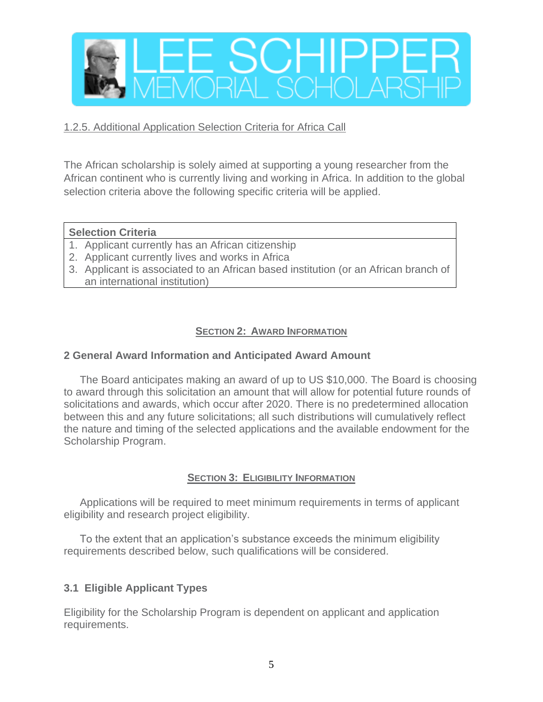

### 1.2.5. Additional Application Selection Criteria for Africa Call

The African scholarship is solely aimed at supporting a young researcher from the African continent who is currently living and working in Africa. In addition to the global selection criteria above the following specific criteria will be applied.

### **Selection Criteria**

- 1. Applicant currently has an African citizenship
- 2. Applicant currently lives and works in Africa
- 3. Applicant is associated to an African based institution (or an African branch of an international institution)

## **SECTION 2: AWARD INFORMATION**

### **2 General Award Information and Anticipated Award Amount**

The Board anticipates making an award of up to US \$10,000. The Board is choosing to award through this solicitation an amount that will allow for potential future rounds of solicitations and awards, which occur after 2020. There is no predetermined allocation between this and any future solicitations; all such distributions will cumulatively reflect the nature and timing of the selected applications and the available endowment for the Scholarship Program.

## **SECTION 3: ELIGIBILITY INFORMATION**

Applications will be required to meet minimum requirements in terms of applicant eligibility and research project eligibility.

To the extent that an application's substance exceeds the minimum eligibility requirements described below, such qualifications will be considered.

## **3.1 Eligible Applicant Types**

Eligibility for the Scholarship Program is dependent on applicant and application requirements.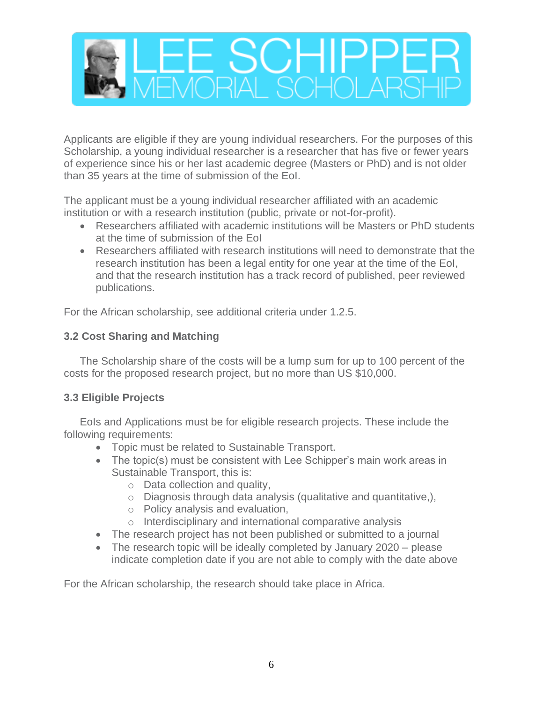

Applicants are eligible if they are young individual researchers. For the purposes of this Scholarship, a young individual researcher is a researcher that has five or fewer years of experience since his or her last academic degree (Masters or PhD) and is not older than 35 years at the time of submission of the EoI.

The applicant must be a young individual researcher affiliated with an academic institution or with a research institution (public, private or not-for-profit).

- Researchers affiliated with academic institutions will be Masters or PhD students at the time of submission of the EoI
- Researchers affiliated with research institutions will need to demonstrate that the research institution has been a legal entity for one year at the time of the EoI, and that the research institution has a track record of published, peer reviewed publications.

For the African scholarship, see additional criteria under 1.2.5.

## **3.2 Cost Sharing and Matching**

The Scholarship share of the costs will be a lump sum for up to 100 percent of the costs for the proposed research project, but no more than US \$10,000.

## **3.3 Eligible Projects**

EoIs and Applications must be for eligible research projects. These include the following requirements:

- Topic must be related to Sustainable Transport.
- The topic(s) must be consistent with Lee Schipper's main work areas in Sustainable Transport, this is:
	- o Data collection and quality,
	- o Diagnosis through data analysis (qualitative and quantitative,),
	- o Policy analysis and evaluation,
	- o Interdisciplinary and international comparative analysis
- The research project has not been published or submitted to a journal
- The research topic will be ideally completed by January 2020 please indicate completion date if you are not able to comply with the date above

For the African scholarship, the research should take place in Africa.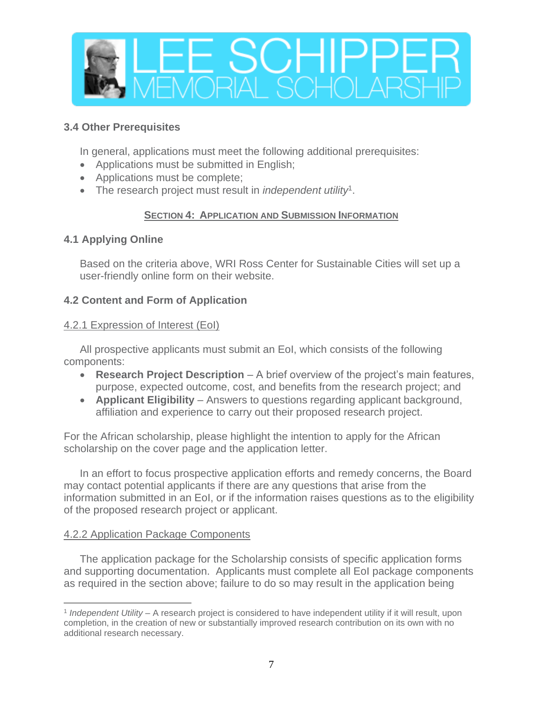

## **3.4 Other Prerequisites**

In general, applications must meet the following additional prerequisites:

- Applications must be submitted in English;
- Applications must be complete;
- The research project must result in *independent utility*<sup>1</sup> .

## **SECTION 4: APPLICATION AND SUBMISSION INFORMATION**

## **4.1 Applying Online**

Based on the criteria above, WRI Ross Center for Sustainable Cities will set up a user-friendly online form on their website.

## **4.2 Content and Form of Application**

## 4.2.1 Expression of Interest (EoI)

All prospective applicants must submit an EoI, which consists of the following components:

- **Research Project Description** A brief overview of the project's main features, purpose, expected outcome, cost, and benefits from the research project; and
- **Applicant Eligibility** Answers to questions regarding applicant background, affiliation and experience to carry out their proposed research project.

For the African scholarship, please highlight the intention to apply for the African scholarship on the cover page and the application letter.

In an effort to focus prospective application efforts and remedy concerns, the Board may contact potential applicants if there are any questions that arise from the information submitted in an EoI, or if the information raises questions as to the eligibility of the proposed research project or applicant.

# 4.2.2 Application Package Components

The application package for the Scholarship consists of specific application forms and supporting documentation. Applicants must complete all EoI package components as required in the section above; failure to do so may result in the application being

<sup>1</sup> *Independent Utility* – A research project is considered to have independent utility if it will result, upon completion, in the creation of new or substantially improved research contribution on its own with no additional research necessary.